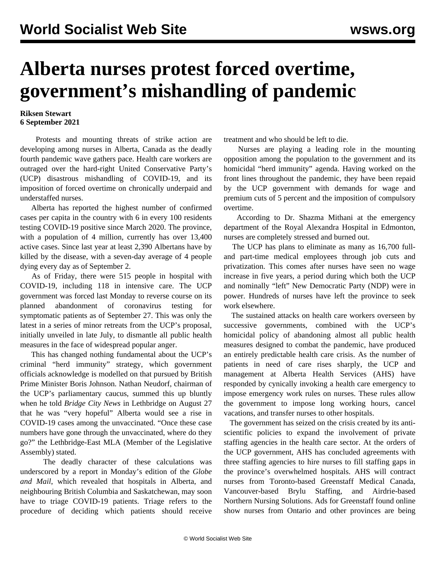## **Alberta nurses protest forced overtime, government's mishandling of pandemic**

## **Riksen Stewart 6 September 2021**

 Protests and mounting threats of strike action are developing among nurses in Alberta, Canada as the deadly fourth pandemic wave gathers pace. Health care workers are outraged over the hard-right United Conservative Party's (UCP) disastrous mishandling of COVID-19, and its imposition of forced overtime on chronically underpaid and understaffed nurses.

 Alberta has reported the highest number of confirmed cases per capita in the country with 6 in every 100 residents testing COVID-19 positive since March 2020. The province, with a population of 4 million, currently has over 13,400 active cases. Since last year at least 2,390 Albertans have by killed by the disease, with a seven-day average of 4 people dying every day as of September 2.

 As of Friday, there were 515 people in hospital with COVID-19, including 118 in intensive care. The UCP government was forced last Monday to reverse course on its planned abandonment of coronavirus testing for symptomatic patients as of September 27. This was only the latest in a series of minor retreats from the UCP's proposal, initially unveiled in late July, to dismantle all public health measures in the face of widespread popular anger.

 This has changed nothing fundamental about the UCP's criminal "herd immunity" strategy, which government officials acknowledge is modelled on that pursued by British Prime Minister Boris Johnson. Nathan Neudorf, chairman of the UCP's parliamentary caucus, summed this up bluntly when he told *Bridge City News* in Lethbridge on August 27 that he was "very hopeful" Alberta would see a rise in COVID-19 cases among the unvaccinated. "Once these case numbers have gone through the unvaccinated, where do they go?" the Lethbridge-East MLA (Member of the Legislative Assembly) stated.

 The deadly character of these calculations was underscored by a report in Monday's edition of the *Globe and Mail*, which revealed that hospitals in Alberta, and neighbouring British Columbia and Saskatchewan, may soon have to triage COVID-19 patients. Triage refers to the procedure of deciding which patients should receive treatment and who should be left to die.

 Nurses are playing a leading role in the mounting opposition among the population to the government and its homicidal "herd immunity" agenda. Having worked on the front lines throughout the pandemic, they have been repaid by the UCP government with demands for wage and premium cuts of 5 percent and the imposition of compulsory overtime.

 According to Dr. Shazma Mithani at the emergency department of the Royal Alexandra Hospital in Edmonton, nurses are completely stressed and burned out.

 The UCP has plans to eliminate as many as 16,700 fulland part-time medical employees through job cuts and privatization. This comes after nurses have seen no wage increase in five years, a period during which both the UCP and nominally "left" New Democratic Party (NDP) were in power. Hundreds of nurses have left the province to seek work elsewhere.

 The sustained attacks on health care workers overseen by successive governments, combined with the UCP's homicidal policy of abandoning almost all public health measures designed to combat the pandemic, have produced an entirely predictable health care crisis. As the number of patients in need of care rises sharply, the UCP and management at Alberta Health Services (AHS) have responded by cynically invoking a health care emergency to impose emergency work rules on nurses. These rules allow the government to impose long working hours, cancel vacations, and transfer nurses to other hospitals.

 The government has seized on the crisis created by its antiscientific policies to expand the involvement of private staffing agencies in the health care sector. At the orders of the UCP government, AHS has concluded agreements with three staffing agencies to hire nurses to fill staffing gaps in the province's overwhelmed hospitals. AHS will contract nurses from Toronto-based Greenstaff Medical Canada, Vancouver-based Brylu Staffing, and Airdrie-based Northern Nursing Solutions. Ads for Greenstaff found online show nurses from Ontario and other provinces are being